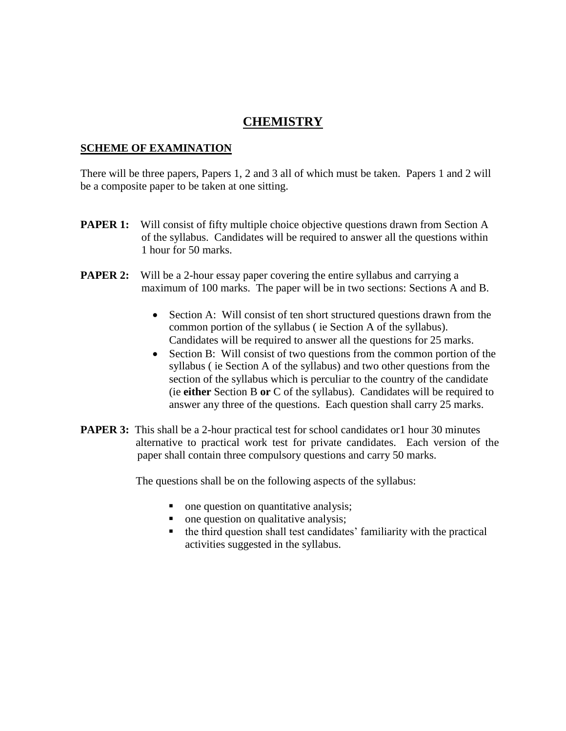# **CHEMISTRY**

#### **SCHEME OF EXAMINATION**

 There will be three papers, Papers 1, 2 and 3 all of which must be taken. Papers 1 and 2 will be a composite paper to be taken at one sitting.

- **PAPER 1:** Will consist of fifty multiple choice objective questions drawn from Section A of the syllabus. Candidates will be required to answer all the questions within 1 hour for 50 marks.
- **PAPER 2:** Will be a 2-hour essay paper covering the entire syllabus and carrying a maximum of 100 marks. The paper will be in two sections: Sections A and B.
	- Section A: Will consist of ten short structured questions drawn from the common portion of the syllabus ( ie Section A of the syllabus). Candidates will be required to answer all the questions for 25 marks.
	- Section B: Will consist of two questions from the common portion of the syllabus ( ie Section A of the syllabus) and two other questions from the section of the syllabus which is perculiar to the country of the candidate (ie **either** Section B **or** C of the syllabus). Candidates will be required to answer any three of the questions. Each question shall carry 25 marks.
- **PAPER 3:** This shall be a 2-hour practical test for school candidates or 1 hour 30 minutes alternative to practical work test for private candidates. Each version of the paper shall contain three compulsory questions and carry 50 marks.

The questions shall be on the following aspects of the syllabus:

- one question on quantitative analysis;
- one question on qualitative analysis;
- the third question shall test candidates' familiarity with the practical activities suggested in the syllabus.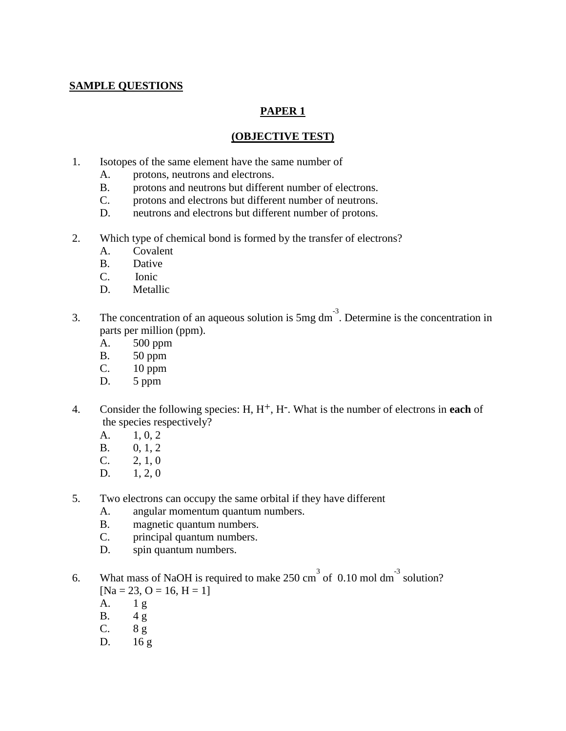### **SAMPLE QUESTIONS**

# **PAPER 1**

#### **(OBJECTIVE TEST)**

- 1. Isotopes of the same element have the same number of
	- A. protons, neutrons and electrons.
	- B. protons and neutrons but different number of electrons.
	- C. protons and electrons but different number of neutrons.
	- D. neutrons and electrons but different number of protons.
- 2. Which type of chemical bond is formed by the transfer of electrons?
	- A. Covalent
	- B. Dative
	- C. Ionic
	- D. Metallic
- 3. The concentration of an aqueous solution is  $5mg \, \text{dm}^{-3}$ . Determine is the concentration in parts per million (ppm).
	- A. 500 ppm
	- B. 50 ppm
	- C. 10 ppm
	- D. 5 ppm
- 4. Consider the following species: H, H<sup>+</sup>, H<sup>-</sup>. What is the number of electrons in **each** of the species respectively?
	- A.  $1, 0, 2$
	- B. 0, 1, 2
	- $C. 2, 1, 0$
	- D.  $1, 2, 0$
- 5. Two electrons can occupy the same orbital if they have different
	- A. angular momentum quantum numbers.
	- B. magnetic quantum numbers.
	- C. principal quantum numbers.
	- D. spin quantum numbers.
- 6. What mass of NaOH is required to make  $250 \text{ cm}^3$  of 0.10 mol dm<sup>-3</sup> solution?  $[Na = 23, O = 16, H = 1]$ 
	- A. 1 g
	- B. 4 g
	- $C.$  8 g
	- D. 16 g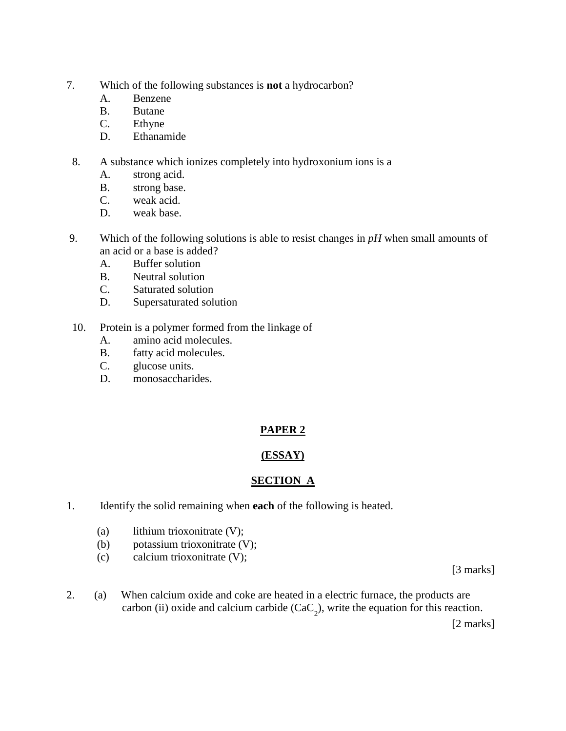- 7. Which of the following substances is **not** a hydrocarbon?
	- A. Benzene
	- B. Butane
	- C. Ethyne
	- D. Ethanamide
- 8. A substance which ionizes completely into hydroxonium ions is a
	- A. strong acid.
	- B. strong base.
	- C. weak acid.
	- D. weak base.
- 9. Which of the following solutions is able to resist changes in *pH* when small amounts of an acid or a base is added?
	- A. Buffer solution
	- B. Neutral solution
	- C. Saturated solution
	- D. Supersaturated solution
- 10. Protein is a polymer formed from the linkage of
	- A. amino acid molecules.
	- B. fatty acid molecules.
	- C. glucose units.
	- D. monosaccharides.

# **PAPER 2**

# **(ESSAY)**

# **SECTION A**

- 1.Identify the solid remaining when **each** of the following is heated.
	- (a) lithium trioxonitrate (V);
	- (b) potassium trioxonitrate (V);
	- (c) calcium trioxonitrate (V);

[3 marks]

2.(a) When calcium oxide and coke are heated in a electric furnace, the products are carbon (ii) oxide and calcium carbide  $(CaC_2)$ , write the equation for this reaction.

[2 marks]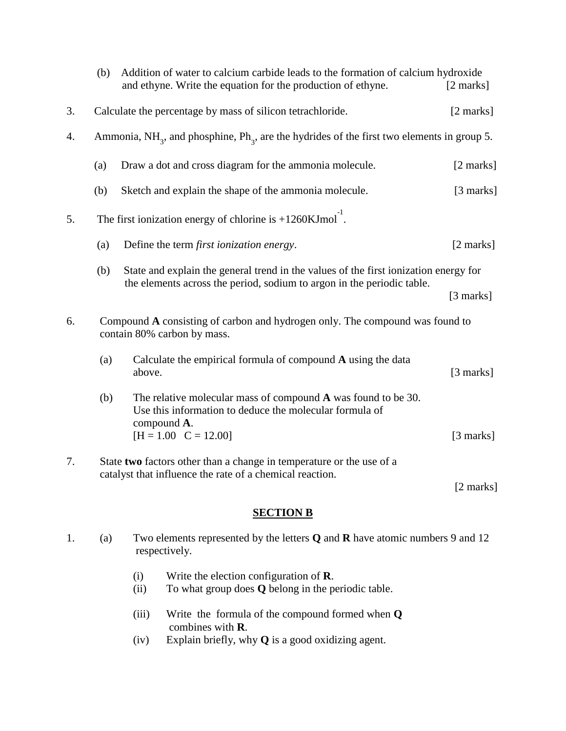|    | (b)                                                                                                         | Addition of water to calcium carbide leads to the formation of calcium hydroxide<br>and ethyne. Write the equation for the production of ethyne. | $[2 \text{ marks}]$ |  |  |
|----|-------------------------------------------------------------------------------------------------------------|--------------------------------------------------------------------------------------------------------------------------------------------------|---------------------|--|--|
| 3. |                                                                                                             | Calculate the percentage by mass of silicon tetrachloride.                                                                                       | $[2 \text{ marks}]$ |  |  |
| 4. |                                                                                                             | Ammonia, NH <sub>3</sub> , and phosphine, Ph <sub>3</sub> , are the hydrides of the first two elements in group 5.                               |                     |  |  |
|    | (a)                                                                                                         | Draw a dot and cross diagram for the ammonia molecule.                                                                                           | [2 marks]           |  |  |
|    | (b)                                                                                                         | Sketch and explain the shape of the ammonia molecule.                                                                                            | $[3 \text{ marks}]$ |  |  |
| 5. | The first ionization energy of chlorine is $+1260$ KJmol <sup>-1</sup> .                                    |                                                                                                                                                  |                     |  |  |
|    | (a)                                                                                                         | Define the term <i>first ionization energy</i> .                                                                                                 | [2 marks]           |  |  |
|    | (b)                                                                                                         | State and explain the general trend in the values of the first ionization energy for                                                             |                     |  |  |
|    |                                                                                                             | the elements across the period, sodium to argon in the periodic table.                                                                           | $[3 \text{ marks}]$ |  |  |
| 6. | Compound A consisting of carbon and hydrogen only. The compound was found to<br>contain 80% carbon by mass. |                                                                                                                                                  |                     |  |  |
|    | (a)                                                                                                         | Calculate the empirical formula of compound $A$ using the data<br>above.                                                                         | $[3 \text{ marks}]$ |  |  |
|    | (b)                                                                                                         | The relative molecular mass of compound A was found to be 30.<br>Use this information to deduce the molecular formula of<br>compound A.          |                     |  |  |
|    |                                                                                                             | $[H = 1.00 \quad C = 12.00]$                                                                                                                     | [3 marks]           |  |  |
| 7. |                                                                                                             | State two factors other than a change in temperature or the use of a<br>catalyst that influence the rate of a chemical reaction.                 |                     |  |  |
|    |                                                                                                             |                                                                                                                                                  | [2 marks]           |  |  |

#### **SECTION B**

- 1. (a) Two elements represented by the letters **Q** and **R** have atomic numbers 9 and 12 respectively.
	- (i) Write the election configuration of **R**.
	- (ii) To what group does **Q** belong in the periodic table.
	- (iii) Write the formula of the compound formed when **Q** combines with **R**.
	- (iv) Explain briefly, why **Q** is a good oxidizing agent.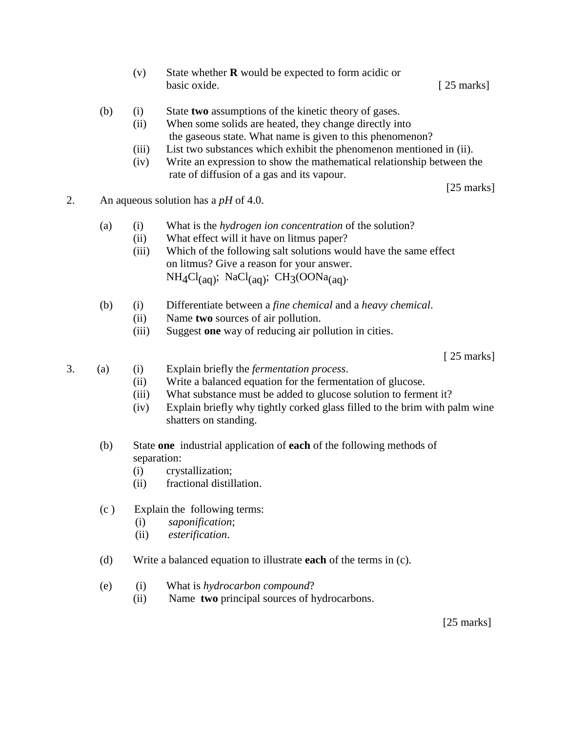- (v) State whether **R** would be expected to form acidic or basic oxide. [ 25 marks]
- (b) (i) State **two** assumptions of the kinetic theory of gases.
	- (ii) When some solids are heated, they change directly into the gaseous state. What name is given to this phenomenon?
	- (iii) List two substances which exhibit the phenomenon mentioned in (ii).
	- (iv) Write an expression to show the mathematical relationship between the rate of diffusion of a gas and its vapour.

[25 marks]

2. An aqueous solution has a *pH* of 4.0.

#### (a) (i) What is the *hydrogen ion concentration* of the solution?

- (ii) What effect will it have on litmus paper?
	- (iii) Which of the following salt solutions would have the same effect on litmus? Give a reason for your answer.  $NH_4Cl_{(aq)}$ ; NaCl<sub>(aq)</sub>; CH<sub>3</sub>(OONa<sub>(aq)</sub>.
- (b) (i) Differentiate between a *fine chemical* and a *heavy chemical*.
	- (ii) Name **two** sources of air pollution.
	- (iii) Suggest **one** way of reducing air pollution in cities.

[ 25 marks]

- 3. (a) (i) Explain briefly the *fermentation process*.
	- (ii) Write a balanced equation for the fermentation of glucose.
	- (iii) What substance must be added to glucose solution to ferment it?
	- (iv) Explain briefly why tightly corked glass filled to the brim with palm wine shatters on standing.
	- (b) State **one** industrial application of **each** of the following methods of separation:
		- (i) crystallization;
		- (ii) fractional distillation.
	- (c ) Explain the following terms:
		- (i) *saponification*;
		- (ii) *esterification*.
	- (d) Write a balanced equation to illustrate **each** of the terms in (c).
	- (e) (i) What is *hydrocarbon compound*?
		- (ii) Name **two** principal sources of hydrocarbons.

[25 marks]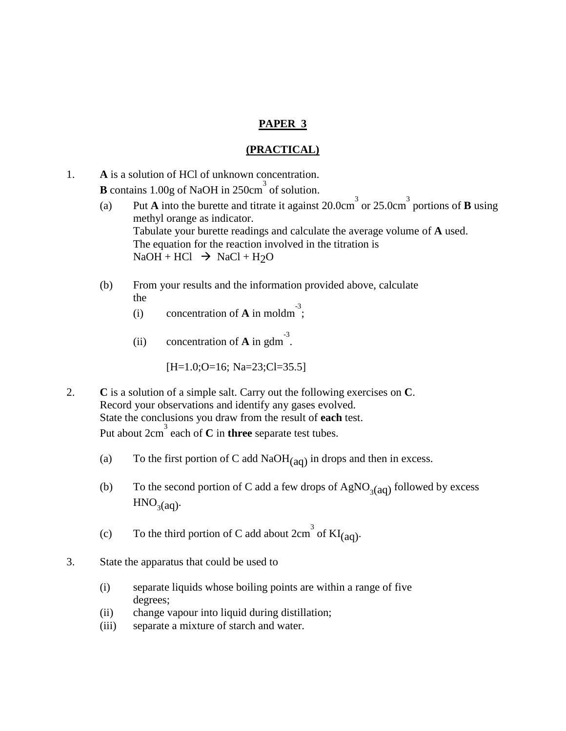### **PAPER 3**

#### **(PRACTICAL)**

- 1. **A** is a solution of HCl of unknown concentration. **B** contains 1.00g of NaOH in 250cm<sup>3</sup> of solution.
	- (a) Put **A** into the burette and titrate it against 20.0cm<sup>3</sup> or 25.0cm<sup>3</sup> portions of **B** using methyl orange as indicator. Tabulate your burette readings and calculate the average volume of **A** used. The equation for the reaction involved in the titration is  $NaOH + HCl \rightarrow NaCl + H<sub>2</sub>O$
	- (b) From your results and the information provided above, calculate the
		- (i) concentration of **A** in moldm<sup>-3</sup>;
		- (ii) concentration of **A** in gdm<sup>-3</sup>.

[H=1.0;O=16; Na=23;Cl=35.5]

- 2. **C** is a solution of a simple salt. Carry out the following exercises on **C**. Record your observations and identify any gases evolved. State the conclusions you draw from the result of **each** test. Put about 2cm 3 each of **C** in **three** separate test tubes.
	- (a) To the first portion of C add NaO $H<sub>(aa)</sub>$  in drops and then in excess.
	- (b) To the second portion of C add a few drops of  $AgNO<sub>3</sub>(aq)$  followed by excess  $HNO<sub>3</sub>(aq)$ .
	- (c) To the third portion of C add about  $2 \text{cm}^3$  of  $\text{KI}_{\text{(aq)}}$ .
- 3. State the apparatus that could be used to
	- (i) separate liquids whose boiling points are within a range of five degrees;
	- (ii) change vapour into liquid during distillation;
	- (iii) separate a mixture of starch and water.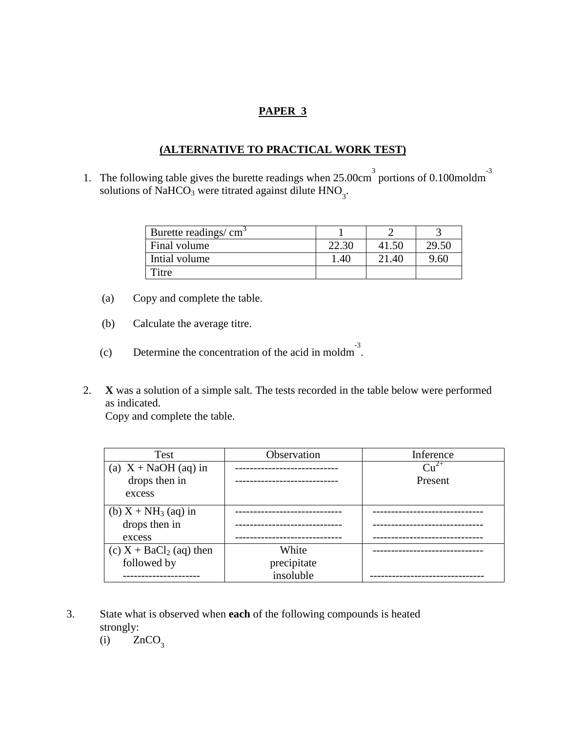### **PAPER 3**

# **(ALTERNATIVE TO PRACTICAL WORK TEST)**

1. The following table gives the burette readings when  $25.00 \text{cm}^3$  portions of 0.100moldm<sup>3</sup> solutions of NaHCO<sub>3</sub> were titrated against dilute  $HNO<sub>3</sub>$ .

| Burette readings/ cm <sup>3</sup> |       |       |       |
|-----------------------------------|-------|-------|-------|
| Final volume                      | 22.30 | 41.50 | 29.50 |
| Intial volume                     | .40   | 21.40 | 9.60  |
| Titre                             |       |       |       |

- (a) Copy and complete the table.
- (b) Calculate the average titre.
- (c) Determine the concentration of the acid in moldm<sup>-3</sup>.
- 2. **X** was a solution of a simple salt. The tests recorded in the table below were performed as indicated.

Copy and complete the table.

| Test                      | Observation | Inference |
|---------------------------|-------------|-----------|
| (a) $X + NaOH$ (aq) in    |             | $Cu^{2+}$ |
| drops then in             |             | Present   |
| excess                    |             |           |
| (b) $X + NH_3$ (aq) in    |             |           |
| drops then in             |             |           |
| excess                    |             |           |
| (c) $X + BaCl2$ (aq) then | White       |           |
| followed by               | precipitate |           |
|                           | insoluble   |           |

- 3. State what is observed when **each** of the following compounds is heated strongly:
	- (i)  $ZnCO<sub>3</sub>$